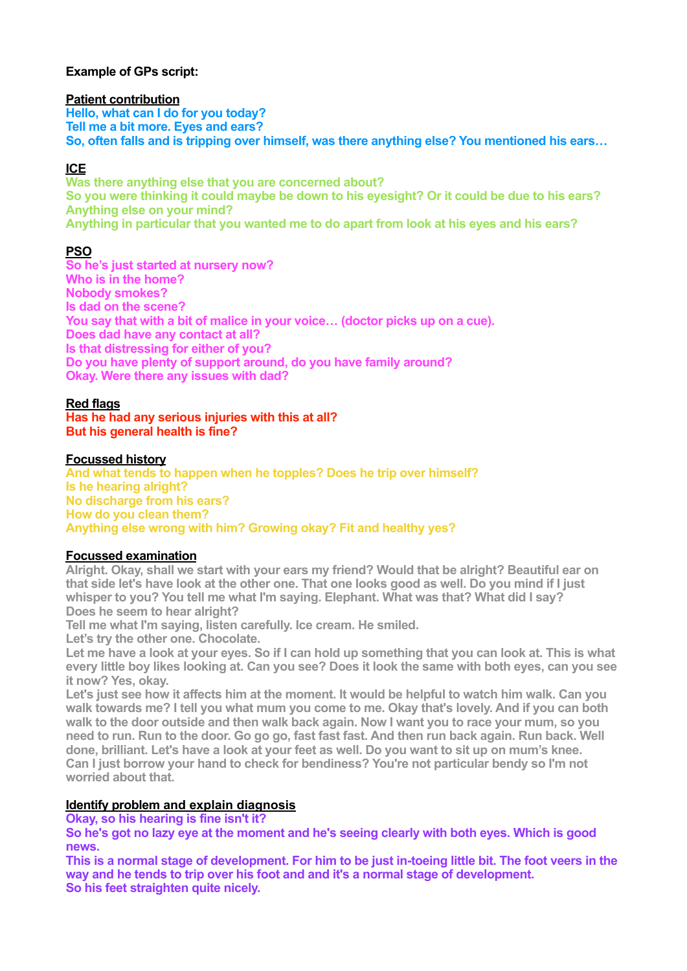# **Example of GPs script:**

#### **Patient contribution**

**Hello, what can I do for you today? Tell me a bit more. Eyes and ears? So, often falls and is tripping over himself, was there anything else? You mentioned his ears…** 

# **ICE**

**Was there anything else that you are concerned about? So you were thinking it could maybe be down to his eyesight? Or it could be due to his ears? Anything else on your mind? Anything in particular that you wanted me to do apart from look at his eyes and his ears?** 

# **PSO**

**So he's just started at nursery now? Who is in the home? Nobody smokes? Is dad on the scene? You say that with a bit of malice in your voice… (doctor picks up on a cue). Does dad have any contact at all? Is that distressing for either of you? Do you have plenty of support around, do you have family around? Okay. Were there any issues with dad?** 

### **Red flags**

**Has he had any serious injuries with this at all? But his general health is fine?** 

### **Focussed history**

**And what tends to happen when he topples? Does he trip over himself? Is he hearing alright? No discharge from his ears? How do you clean them? Anything else wrong with him? Growing okay? Fit and healthy yes?** 

#### **Focussed examination**

**Alright. Okay, shall we start with your ears my friend? Would that be alright? Beautiful ear on that side let's have look at the other one. That one looks good as well. Do you mind if I just whisper to you? You tell me what I'm saying. Elephant. What was that? What did I say? Does he seem to hear alright?** 

**Tell me what I'm saying, listen carefully. Ice cream. He smiled.** 

**Let's try the other one. Chocolate.** 

**Let me have a look at your eyes. So if I can hold up something that you can look at. This is what every little boy likes looking at. Can you see? Does it look the same with both eyes, can you see it now? Yes, okay.** 

**Let's just see how it affects him at the moment. It would be helpful to watch him walk. Can you walk towards me? I tell you what mum you come to me. Okay that's lovely. And if you can both walk to the door outside and then walk back again. Now I want you to race your mum, so you need to run. Run to the door. Go go go, fast fast fast. And then run back again. Run back. Well done, brilliant. Let's have a look at your feet as well. Do you want to sit up on mum's knee. Can I just borrow your hand to check for bendiness? You're not particular bendy so I'm not worried about that.** 

# **Identify problem and explain diagnosis**

**Okay, so his hearing is fine isn't it?** 

**So he's got no lazy eye at the moment and he's seeing clearly with both eyes. Which is good news.** 

**This is a normal stage of development. For him to be just in-toeing little bit. The foot veers in the way and he tends to trip over his foot and and it's a normal stage of development. So his feet straighten quite nicely.**